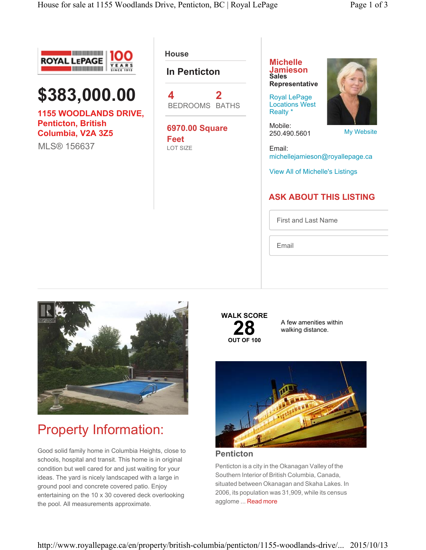



**1155 WOODLANDS DRIVE, Penticton, British Columbia, V2A 3Z5**

MLS® 156637

**House** 

## **In Penticton**



**6970.00 Square Feet** LOT SIZE

### **Michelle Jamieson Sales Representative**

Royal LePage Locations West Realty \*

Mobile: 250.490.5601

My Website

Email: michellejamieson@royallepage.ca

View All of Michelle's Listings

## **ASK ABOUT THIS LISTING**

First and Last Name

Email



## Property Information:

Good solid family home in Columbia Heights, close to schools, hospital and transit. This home is in original condition but well cared for and just waiting for your ideas. The yard is nicely landscaped with a large in ground pool and concrete covered patio. Enjoy entertaining on the 10 x 30 covered deck overlooking the pool. All measurements approximate.



A few amenities within walking distance.



#### **Penticton**

Penticton is a city in the Okanagan Valley of the Southern Interior of British Columbia, Canada, situated between Okanagan and Skaha Lakes. In 2006, its population was 31,909, while its census agglome ... Read more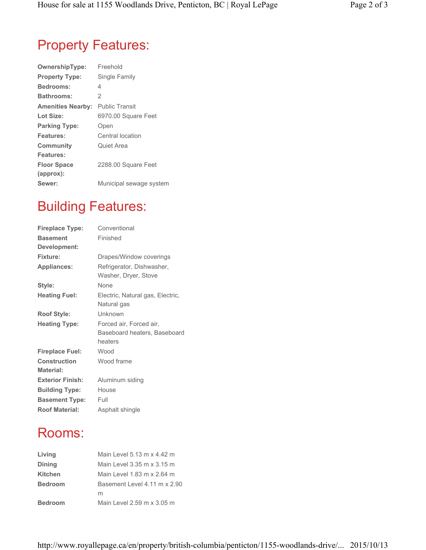# Property Features:

| <b>OwnershipType:</b>    | Freehold                |
|--------------------------|-------------------------|
| <b>Property Type:</b>    | Single Family           |
| <b>Bedrooms:</b>         | 4                       |
| <b>Bathrooms:</b>        | 2                       |
| <b>Amenities Nearby:</b> | <b>Public Transit</b>   |
| Lot Size:                | 6970.00 Square Feet     |
| <b>Parking Type:</b>     | Open                    |
| Features:                | Central location        |
| <b>Community</b>         | Quiet Area              |
| Features:                |                         |
| <b>Floor Space</b>       | 2288.00 Square Feet     |
| (approx):                |                         |
| Sewer:                   | Municipal sewage system |

# Building Features:

| <b>Fireplace Type:</b>           | Conventional                                                       |
|----------------------------------|--------------------------------------------------------------------|
| <b>Basement</b>                  | Finished                                                           |
| Development:                     |                                                                    |
| Fixture:                         | Drapes/Window coverings                                            |
| <b>Appliances:</b>               | Refrigerator, Dishwasher,                                          |
|                                  | Washer, Dryer, Stove                                               |
| Style:                           | None                                                               |
| <b>Heating Fuel:</b>             | Electric, Natural gas, Electric,<br>Natural gas                    |
| <b>Roof Style:</b>               | Unknown                                                            |
| <b>Heating Type:</b>             | Forced air, Forced air,<br>Baseboard heaters, Baseboard<br>heaters |
| <b>Fireplace Fuel:</b>           | Wood                                                               |
| <b>Construction</b><br>Material: | Wood frame                                                         |
| <b>Exterior Finish:</b>          | Aluminum siding                                                    |
| <b>Building Type:</b>            | House                                                              |
| <b>Basement Type:</b>            | Full                                                               |
| <b>Roof Material:</b>            | Asphalt shingle                                                    |

## Rooms:

| Living         | Main Level 5.13 m x 4.42 m   |
|----------------|------------------------------|
| <b>Dining</b>  | Main Level 3.35 m x 3.15 m   |
| <b>Kitchen</b> | Main Level 1.83 m x 2.64 m   |
| <b>Bedroom</b> | Basement Level 4.11 m x 2.90 |
|                | m                            |
| <b>Bedroom</b> | Main Level 2.59 m x 3.05 m   |
|                |                              |